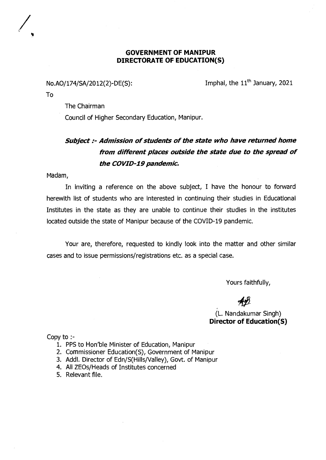## **GOVERNMENT OF MANIPUR** DIRECTORATE OF EDUCATION(S)

No.AO/174/SA/2012(2)-DE(S):

Imphal, the 11<sup>th</sup> January, 2021

To

The Chairman

Council of Higher Secondary Education, Manipur.

## Subject :- Admission of students of the state who have returned home from different places outside the state due to the spread of the COVID-19 pandemic.

Madam,

In inviting a reference on the above subject, I have the honour to forward herewith list of students who are interested in continuing their studies in Educational Institutes in the state as they are unable to continue their studies in the institutes located outside the state of Manipur because of the COVID-19 pandemic.

Your are, therefore, requested to kindly look into the matter and other similar cases and to issue permissions/registrations etc. as a special case.

Yours faithfully,

(L. Nandakumar Singh) **Director of Education(S)** 

Copy to :-

- 1. PPS to Hon'ble Minister of Education, Manipur
- 2. Commissioner Education(S), Government of Manipur
- 3. Addl. Director of Edn/S(Hills/Valley), Govt. of Manipur
- 4. All ZEOs/Heads of Institutes concerned
- 5. Relevant file.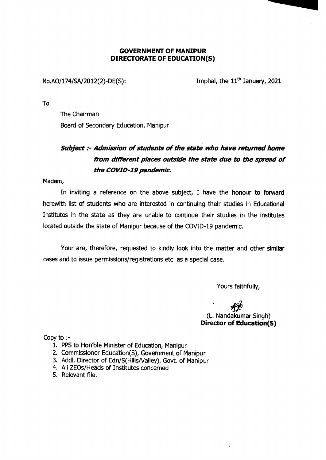## **GOVERNMENT OF MANIPUR DIRECTORATE OF EDUCATION(S)**

No.AO/174/SA/2012(2)-DE(S): Imphal, the  $11<sup>th</sup>$  January, 2021

To

The Chairman Board of Secondary Education, Manipur

## **Subject :- Admission of students of the state who have returned home from different places outside the state due to the spread of the COVID-19 pandemic.**

Madam,

In inviting a reference on the above subject, I have the honour to forward herewith list of students who are interested in continuing their studies in Educational Institutes in the state as they are unable to continue their studies in the institutes located outside the state of Manipur because of the COVID-19 pandemic.

Your are, therefore, requested to kindly look into the matter and other similar cases and to issue permissions/registrations etc. as a special case.

Yours faithfully,

(L. Nandakumar Singh) **Director of Education(S)** 

Copy to:-

- 1. PPS to Hon'ble Minister of Education, Manipur
- 2. Commissioner Education(S), Government of Manipur
- 3. Addl. Director of Edn/S(Hills/Valley), Govt. of Manipur
- 4. All ZEOs/Heads of Institutes concerned
- 5. Relevant file.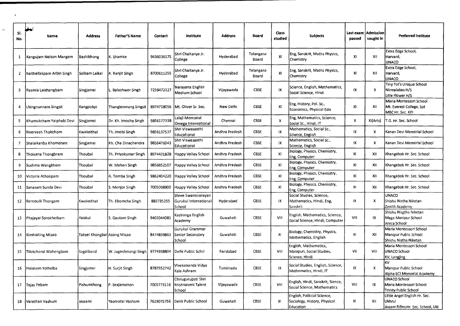| SI.<br>No.     | Name                      | <b>Address</b>              | <b>Father'S Name</b> | Contact    | <b>Institute</b>                                      | <b>Address</b> | <b>Board</b>       | <b>Class</b><br>studied | <b>Subjects</b>                                                          | Last exam<br>passed | Admission<br>sought in | <b>Preferred institute</b>                                                   |
|----------------|---------------------------|-----------------------------|----------------------|------------|-------------------------------------------------------|----------------|--------------------|-------------------------|--------------------------------------------------------------------------|---------------------|------------------------|------------------------------------------------------------------------------|
| $\mathbf{1}$   | Kangujam Nelson Mangam    | Bashikhong                  | K. Shamke            | 9436036175 | Shri Chaitanya Jr.<br>College                         | Hyderabad      | Telangana<br>Board | XI                      | Eng, Sanskrit, Maths Physics,<br>Chemistry                               | XI                  | XII                    | Extra Edge School,<br>Harvard,<br><b>UNACO</b>                               |
| $\overline{2}$ | Keithellakpam Arbin Singh | Soibam Leikai               | K. Ranjit Singh      | 8700611255 | Shri Chaitanya Jr.<br>College                         | Hyderabad      | Telangana<br>Board | XI                      | Eng, Sanskrit, Maths Physics,<br>Chemistry                               | <b>XI</b>           | XII                    | Extra Edge School,<br>Harvard,<br><b>UNACO</b>                               |
| 3              | Rasmia Laishangbam        | Singjamei                   | Baleshwor Singh      | 7259472127 | Narayana English<br>Medium School                     | Vijayawada     | <b>CBSE</b>        | IX                      | Science, English, Mathematics,<br>Social Science, Hindi                  | IX.                 | x                      | Tiny Tot's Unique School<br>Nirmalabas H/S<br>Litle Flower H/S               |
| 4              | Lhingnunnem Singsit       | Kangpokpi                   | Thanglenmang Singsit |            | 8974718056 Mt. Oliver Sr. Sec.                        | New Delhi      | <b>CBSE</b>        | XI                      | Eng, History, Pol. Sc.,<br>Economics, Physical Edn                       | XI                  | XII                    | Maria Montessori School<br>Mt. Everest College, Spt<br>MBC Hr. Sec. KPI      |
| 5              | Khumukcham Yaiphabi Devi  | Singjamei                   | Dr. Kh. Imocha Singh | 9856177338 | Lalaji Memorial<br>Omega International                | Chennai        | <b>CBSE</b>        | X                       | Eng, Mathematics, Science,<br>Social Sc., Hindi, IT                      | $\pmb{\times}$      | XI(Arts)               | T.G. Hr. Sec. School                                                         |
| 6              | Neervash Thokchom         | Kwakeithel                  | Th. Imobi Singh      | 985613753  | Shri Viswasanthi<br>Educational                       | Andhra Pradesh | <b>CBSE</b>        | IX                      | Mathematics, Social Sc.,<br>Science, English                             | IX                  | X                      | Kanan Devi Memorial School                                                   |
| 7              | Shalaikanba Khomdram      | Singjamei                   | Kh. Cha Dinachandra  | 9856476043 | Shri Viswasanthi<br>Educational                       | Andhra Pradesh | <b>CBSE</b>        | IX.                     | Mathematics, Social Sc.,<br>Science, English                             | IX                  | x                      | Kanan Devi Memorial School                                                   |
| 8              | Thoisana Thongbram        | iThoubal                    | Th. Priyokumar Singh | 8974431828 | Happy Valley School                                   | Andhra Pradesh | <b>CBSE</b>        | XI                      | Biology, Physics, Chemistry,<br>Eng, Computer                            | XI                  | XII                    | Khangabok Hr. Sec. School                                                    |
| 9              | Sushma Wangkhem           | Thoubal                     | W. Mahen Singh       | 9856652107 | Happy Valley School                                   | Andhra Pradesh | <b>CBSE</b>        | XI                      | Biology, Physics, Chemistry,<br>Eng, Computer                            | XI                  | XII                    | Khangabok Hr. Sec. School                                                    |
| 10             | Victoria Athokpam         | lThoubal                    | A. Tomba Singh       | 9862404220 | Happy Valley School                                   | Andhra Pradesh | <b>CBSE</b>        | XI                      | Biology, Physics, Chemistry,<br>Eng, Computer                            | XI                  | XII                    | Khangabok Hr. Sec. School                                                    |
| 11             | Sanasam Sunila Devi       | Thoubal                     | S. Menjor Singh      | 7005098900 | Happy Valley School                                   | Andhra Pradesh | CBSE               | XI                      | Biology, Physics, Chemistry,<br>Eng, Computer                            | XI                  | XII                    | Khangabok Hr. Sec. School                                                    |
| 12             | Bernoulli Thongam         | Kwakeithel                  | Th. Ebomcha Singh    | 883735255  | Shree Swaminarayan<br>Gurukul International<br>School | Hyderabad      | <b>CBSE</b>        | IX                      | Social Studies, Science,<br>Mathematics, Hindi, Eng,<br>Sanskrit         | IX                  | x                      | <b>UNACO</b><br>Shishu Nistha Niketan<br>Zenith Academy                      |
| 13             | Phajayai Sorokhaibam      | l Yaiskul                   | S. Gautam Singh      | 9402044081 | Kaziranga English<br>Academy                          | Guwahati       | <b>CBSE</b>        | VIII                    | English, Mathematics, Science,<br>Social Science, Hindi, Computer        | VIII                | IX                     | Shishu Nisgtha Niketan<br>Mega Manipur School<br>Areca School                |
| 14             | Kimhoiting Misao          | Takyel Khongbal Asong Misao |                      | 8474839863 | Gurukul Grammar<br>Senior Secondary<br>School         | Guwahati       | <b>CBSE</b>        | XI                      | Biology, Chemistry, Physics,<br>Mathematics, English                     | XI                  | XII                    | Maria Montessori School<br>Manipur Public School<br>Shishu Nistha Niketan    |
| 15             | Tilokchand Wahengbam      | Sagolband                   | W. Jugeshmangi Singh | 9774938804 | Delhi Public Schiil                                   | Faridabad      | <b>CBSE</b>        | VIII                    | English, Mathematics,<br>Manipuri, Social Studies,<br>Science, Hindi     | VII                 | VIII                   | Maria Montessori School<br>UNACO School<br>KV, Langjing                      |
| 16             | Heisnam Yoiheiba          | Singjamei                   | H. Surjit Singh      | 8787552742 | /ivekananda Vidya<br>Kala Ashram                      | Tamilnadu      | <b>CBSE</b>        | IX                      | Social Studies, English, Science,<br>Mathematics, Hindi, IT              | IX.                 | $\pmb{\chi}$           | ĸ٧<br>Manipur Public School<br>Alpha BCI Memorial Academy                    |
| 17             | Tejas Pebam               | Pishumthong                 | P. Brajamohon        | 7005773116 | Chirugurupati Shri<br>Krishnaveni Talent<br>School    | Vijayawada     | <b>CBSE</b>        | VIII                    | English, Hindi, Sanskrit, Sience,<br>Social Science, Mathematics         | VIII                | IX                     | <b>UNACO School</b><br>Maria Montessori School<br>Trinity Public School      |
| 18             | lVarethan Vashum          | Jessa mi                    | Yaomatai Vashum      | 7629075756 | Dehli Public School                                   | Guwahati       | <b>CBSE</b>        | XI.                     | English, Political Science,<br>Sociology, History, Physical<br>Education | XI                  | XII                    | Little Angel English Hr. Sec.<br>Ukhrul<br>Assam Rifles Hr. 5ec. School, Ukl |

 $\hat{\mathbf{G}}$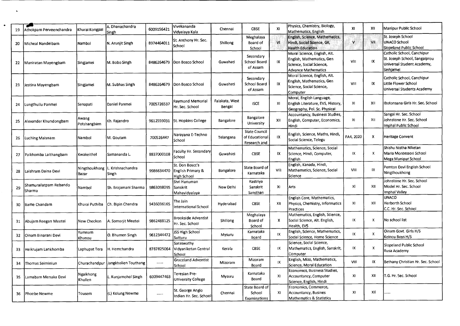| 19 | Athokpam Perveenchandra          | Khurai Kongpal                | A. Dhanachandra<br>Singh                        | 6009156421 | Vivekananda<br>Vidyalaya Kala                                  | Chennai                  | <b>CBSE</b>                                            | X1             | Physics, Chemistry, Biology,<br>Mathematics, English                                                                | XI                      | XII                       | Manipur Public School                                                                                  |
|----|----------------------------------|-------------------------------|-------------------------------------------------|------------|----------------------------------------------------------------|--------------------------|--------------------------------------------------------|----------------|---------------------------------------------------------------------------------------------------------------------|-------------------------|---------------------------|--------------------------------------------------------------------------------------------------------|
| 20 | Micheal Nandeibam                | Nambol                        | N. Arunjit Singh                                | 8974464011 | St. Anthony Hr. Sec.<br>School                                 | Shillong                 | Meghalaya<br>Board of<br>School                        | M.             | English, Science, Mathematics,<br>Hindi, Social Science, GK,<br><b>Health Education</b>                             | Ń.                      | VII                       | St. Joseph School<br>UNACO School<br>Slopeland Public School                                           |
| 22 | Maniratan Mayengbam              | Singjamei                     | M. Bobo Singh                                   | 8486264679 | Don Bosco School                                               | Guwahati                 | Secondary<br>School Board<br>of Assam                  | IX             | Moral Science, English, Alt.<br>English, Mathematics, Gen<br>Science, Social Science,<br><b>Advance Mathematics</b> | VIII                    | 1X                        | Catholic School, Canchipur<br>St. Joseph School, Sangaiprou<br>Universal Student Academy,<br>Sinhjamei |
| 23 | Jestina Mayengbam                | <b>Singjamei</b>              | M. Subhas Singh                                 | 8486264679 | Don Bosco School                                               | Guwahati                 | Secondary<br>School Board<br>of Assam                  | IX             | Moral Science, English, Alt.<br>English, Mathematics, Gen<br>Science, Social Science,<br>Computer                   | VIII                    | IX.                       | Catholic School, Canchipur<br>Little Flower School<br>Universal Students Academy                       |
| 24 | ungthuilu Panmei                 | Senapati                      | Daniel Panmei                                   | 7005726537 | Raymond Memorial<br>Hr. Sec. School                            | Falakata, West<br>Bengal | <b>ISCE</b>                                            | x <sub>l</sub> | Moral, English Language,<br>English Literature, EVS, History,<br>Geography, Pol. Sc. Physical                       | XI                      | XII                       | Ibotonsana Girls Hr. Sec. School                                                                       |
| 25 | Alexander Khundongbam            | Awang<br>Potshangbam          | Kh. Rajendro                                    | 9612559031 | 5t. Hopkins College                                            | Bangalore                | Bangalore<br>University                                | XII            | Accountancy, Business Studies,<br>English, Computer, Economics,<br>Hindi                                            | XI                      | XII                       | Sangai Hr. Sec. School<br>Johnstone Hr. Sec. School<br>Imphal Public School                            |
| 26 | Luching Maisnam                  | Nambol                        | M. Goutam                                       | 700526447  | Narayana E-Techno<br>School                                    | Telangana                | <b>State Council</b><br>of Educational<br>Research and | IX.            | English, Science, Maths, Hindi,<br>Social Science, Telegu                                                           | FA4, 2020               | X                         | Heritage Convent                                                                                       |
| 27 | Paikhomba Laithangbam            | Kwakeithel                    | İSamananda L.                                   | 8837000108 | Faculty Hr. Secondary<br>School                                | Guwahati                 | CBSE                                                   | IX.            | Mathematics, Science, Social<br>Science, Hindi, Computer,<br>English                                                | IX                      | x                         | Shishu Nistha Niketan<br>Maria Montessori School<br>Mega Manipur 5chool                                |
| 28 | Laishram Daina Devi              | Bazar                         | Ningthoukhong L. Krishnachandra<br><b>Singh</b> | 9986634470 | St. Don Boscc's<br><b>English Primary &amp;</b><br>High School | Bangalore                | State Board of<br>Karnataka                            | VIII           | English, Kanada, Hindi,<br>Mathematics, Science, Social<br>Science                                                  | VIII                    | IX                        | Pemton Devi English School<br>Ningthoukhong                                                            |
| 29 | Shamurailatpam Rebando<br>Sharma | Nambol                        | Sh. Brajamani Sharma                            | 9863098095 | Shri Hanuman<br>Sanskrit<br>Mahavidyalaya                      | New Delhi                | Rastriya<br>Sanskrit<br>Sansthan                       | XI             | Arts                                                                                                                | xI                      | XII                       | Johnstone Hr. Sec. School<br>Model Hr. Sec. School<br>Imphal Valley                                    |
| 30 | lBame Chandam                    | Khurai Puthiba                | Ch. Bipin Chandra                               | 9436036165 | The Jain<br>International School                               | Hyderabad                | <b>CBSE</b>                                            | XII            | English Core, Mathematics,<br>Physics, Chemistry, Informatics<br>Practices                                          | XI                      | XII                       | <b>UNACO</b><br>Herberth School<br>C.C. Hr. Sec. School                                                |
| 31 | Abujam Reegan Meetei             | New Checkon                   | A. Somoriit Meetei                              | 9862488125 | <b>Brookside Adventist</b><br>Hr. Sec. School                  | Shillong                 | Meghalaya<br>Board of<br>School                        | X.             | Mathematics, English, Science,<br>Social Science, Alt. English,<br>Health, EV5                                      | $\mathsf{I} \mathsf{X}$ | X                         | No school list                                                                                         |
| 32 | Oinam Binarani Devi              | Yumnam<br>Khunou              | O. Bhumen Singh                                 | 9612344472 | <b>JSS High School</b><br>Sutturu                              | Mysuru                   | Karnataka<br>Board                                     | IX             | English, Science, Mathematics,<br>Social Science, Home Science                                                      | IX                      | $\boldsymbol{\mathsf{x}}$ | Oinam Govt. Girls H/S<br>Keinou Boys H/S                                                               |
| 33 | Heikrujam Lankhomba              | Laphupat Tera   H. Hemchandra |                                                 | 8787825064 | Saraswathy<br>Vidyaniketan Central<br>School                   | Kerala                   | CBSE                                                   | IX             | Science, Social Science,<br>Mathematics, English, Sanskrit,<br>Computer                                             | IX                      | $\boldsymbol{\mathsf{x}}$ | Slopeland Public School<br>Rusa Academy                                                                |
| 34 | Thomas Seiminlun                 |                               | Churachandpur   Jangkholien Touthang            | $\cdots$   | <b>Graceland Adventist</b><br>School                           | Mizoram                  | Mizoram<br>Board                                       | IX             | English, Mizo, Mathematics,<br>Science, Moral Education                                                             | VIII                    | IX                        | Bethany Christian Hr. Sec. School                                                                      |
| 35 | Lamabam Menaka Devi              | Ngaikhong<br>Khullen          | Kunjamohol Singh                                | 6009447463 | Teresian Pre-<br>University College                            | Mysuru                   | Karnataka<br>Board                                     | XI             | Economics, Business Studies,<br>Accountancy, Computer<br>Science, English, Hindi                                    | XI                      | XII                       | T.G. Hr. 5ec. School                                                                                   |
| 36 | Phoebe Newme                     | Tousem                        | (L) Kolung Newme                                |            | 5t. George Anglo<br>Indian Hr. Sec. School                     | Chennai                  | State Board of<br>School<br>Examinations               | XI             | Economics, Commerce,<br>Accountancy, Busines<br><b>Mathematics &amp; Statistics</b>                                 | XI                      | XII                       | .                                                                                                      |

 $\ddot{\bullet}$